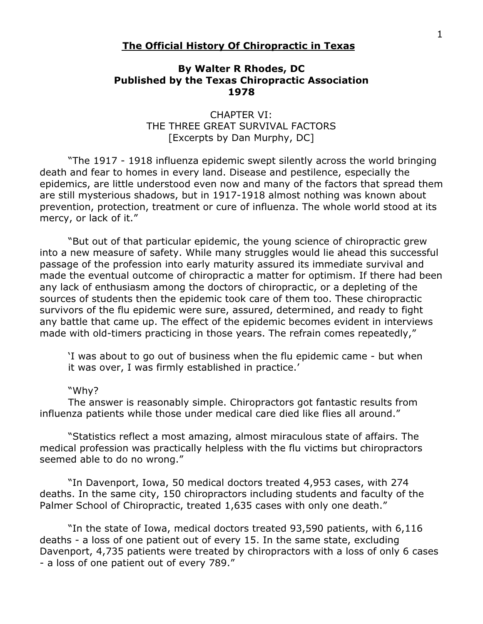## **The Official History Of Chiropractic in Texas**

## **By Walter R Rhodes, DC Published by the Texas Chiropractic Association 1978**

## CHAPTER VI: THE THREE GREAT SURVIVAL FACTORS [Excerpts by Dan Murphy, DC]

"The 1917 - 1918 influenza epidemic swept silently across the world bringing death and fear to homes in every land. Disease and pestilence, especially the epidemics, are little understood even now and many of the factors that spread them are still mysterious shadows, but in 1917-1918 almost nothing was known about prevention, protection, treatment or cure of influenza. The whole world stood at its mercy, or lack of it."

"But out of that particular epidemic, the young science of chiropractic grew into a new measure of safety. While many struggles would lie ahead this successful passage of the profession into early maturity assured its immediate survival and made the eventual outcome of chiropractic a matter for optimism. If there had been any lack of enthusiasm among the doctors of chiropractic, or a depleting of the sources of students then the epidemic took care of them too. These chiropractic survivors of the flu epidemic were sure, assured, determined, and ready to fight any battle that came up. The effect of the epidemic becomes evident in interviews made with old-timers practicing in those years. The refrain comes repeatedly,"

'I was about to go out of business when the flu epidemic came - but when it was over, I was firmly established in practice.'

## "Why?

The answer is reasonably simple. Chiropractors got fantastic results from influenza patients while those under medical care died like flies all around."

"Statistics reflect a most amazing, almost miraculous state of affairs. The medical profession was practically helpless with the flu victims but chiropractors seemed able to do no wrong."

"In Davenport, Iowa, 50 medical doctors treated 4,953 cases, with 274 deaths. In the same city, 150 chiropractors including students and faculty of the Palmer School of Chiropractic, treated 1,635 cases with only one death."

"In the state of Iowa, medical doctors treated 93,590 patients, with 6,116 deaths - a loss of one patient out of every 15. In the same state, excluding Davenport, 4,735 patients were treated by chiropractors with a loss of only 6 cases - a loss of one patient out of every 789."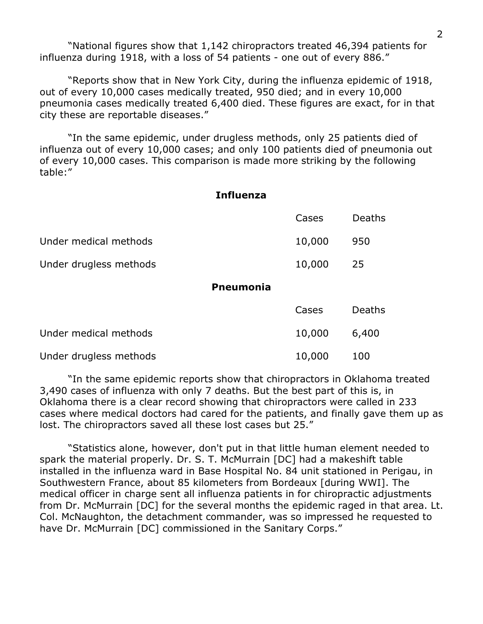"National figures show that 1,142 chiropractors treated 46,394 patients for influenza during 1918, with a loss of 54 patients - one out of every 886."

"Reports show that in New York City, during the influenza epidemic of 1918, out of every 10,000 cases medically treated, 950 died; and in every 10,000 pneumonia cases medically treated 6,400 died. These figures are exact, for in that city these are reportable diseases."

"In the same epidemic, under drugless methods, only 25 patients died of influenza out of every 10,000 cases; and only 100 patients died of pneumonia out of every 10,000 cases. This comparison is made more striking by the following table:"

| <b>Influenza</b> |        |
|------------------|--------|
| Cases            | Deaths |
| 10,000           | 950    |
| 10,000           | 25     |
| <b>Pneumonia</b> |        |
| Cases            | Deaths |
| 10,000           | 6,400  |
|                  |        |

Under drugless methods 10,000 100

"In the same epidemic reports show that chiropractors in Oklahoma treated 3,490 cases of influenza with only 7 deaths. But the best part of this is, in Oklahoma there is a clear record showing that chiropractors were called in 233 cases where medical doctors had cared for the patients, and finally gave them up as lost. The chiropractors saved all these lost cases but 25."

"Statistics alone, however, don't put in that little human element needed to spark the material properly. Dr. S. T. McMurrain [DC] had a makeshift table installed in the influenza ward in Base Hospital No. 84 unit stationed in Perigau, in Southwestern France, about 85 kilometers from Bordeaux [during WWI]. The medical officer in charge sent all influenza patients in for chiropractic adjustments from Dr. McMurrain [DC] for the several months the epidemic raged in that area. Lt. Col. McNaughton, the detachment commander, was so impressed he requested to have Dr. McMurrain [DC] commissioned in the Sanitary Corps."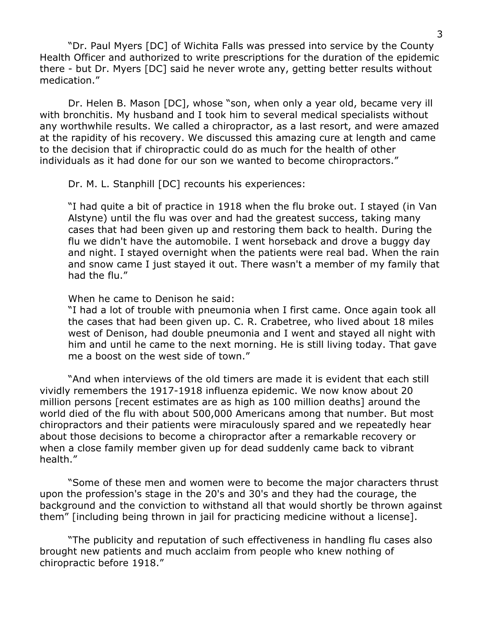"Dr. Paul Myers [DC] of Wichita Falls was pressed into service by the County Health Officer and authorized to write prescriptions for the duration of the epidemic there - but Dr. Myers [DC] said he never wrote any, getting better results without medication."

Dr. Helen B. Mason [DC], whose "son, when only a year old, became very ill with bronchitis. My husband and I took him to several medical specialists without any worthwhile results. We called a chiropractor, as a last resort, and were amazed at the rapidity of his recovery. We discussed this amazing cure at length and came to the decision that if chiropractic could do as much for the health of other individuals as it had done for our son we wanted to become chiropractors."

Dr. M. L. Stanphill [DC] recounts his experiences:

"I had quite a bit of practice in 1918 when the flu broke out. I stayed (in Van Alstyne) until the flu was over and had the greatest success, taking many cases that had been given up and restoring them back to health. During the flu we didn't have the automobile. I went horseback and drove a buggy day and night. I stayed overnight when the patients were real bad. When the rain and snow came I just stayed it out. There wasn't a member of my family that had the flu."

When he came to Denison he said:

"I had a lot of trouble with pneumonia when I first came. Once again took all the cases that had been given up. C. R. Crabetree, who lived about 18 miles west of Denison, had double pneumonia and I went and stayed all night with him and until he came to the next morning. He is still living today. That gave me a boost on the west side of town."

"And when interviews of the old timers are made it is evident that each still vividly remembers the 1917-1918 influenza epidemic. We now know about 20 million persons [recent estimates are as high as 100 million deaths] around the world died of the flu with about 500,000 Americans among that number. But most chiropractors and their patients were miraculously spared and we repeatedly hear about those decisions to become a chiropractor after a remarkable recovery or when a close family member given up for dead suddenly came back to vibrant health."

"Some of these men and women were to become the major characters thrust upon the profession's stage in the 20's and 30's and they had the courage, the background and the conviction to withstand all that would shortly be thrown against them" [including being thrown in jail for practicing medicine without a license].

"The publicity and reputation of such effectiveness in handling flu cases also brought new patients and much acclaim from people who knew nothing of chiropractic before 1918."